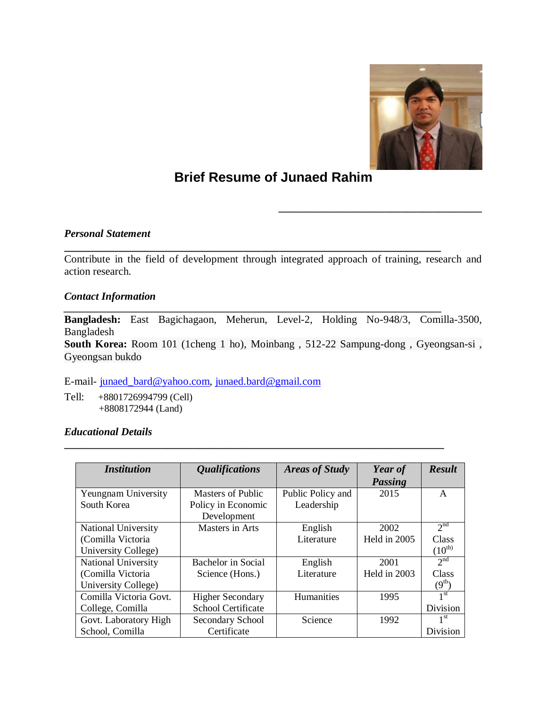

**\_\_\_\_\_\_\_\_\_\_\_\_\_\_\_\_\_\_\_\_\_\_\_\_\_\_\_\_\_\_\_\_\_\_\_\_\_\_**

# **Brief Resume of Junaed Rahim**

*Personal Statement*

Contribute in the field of development through integrated approach of training, research and action research.

**\_\_\_\_\_\_\_\_\_\_\_\_\_\_\_\_\_\_\_\_\_\_\_\_\_\_\_\_\_\_\_\_\_\_\_\_\_\_\_\_\_\_\_\_\_\_\_\_\_\_\_\_\_\_\_\_\_\_\_\_\_\_\_\_\_**

## *Contact Information*

*\_\_\_\_\_\_\_\_\_\_\_\_\_\_\_\_\_\_\_\_\_\_\_\_\_\_\_\_\_\_\_\_\_\_\_\_\_\_\_\_\_\_\_\_\_\_\_\_\_\_\_\_\_\_\_\_\_\_\_\_\_\_\_\_\_\_\_\_\_\_\_\_\_\_\_\_\_* **Bangladesh:** East Bagichagaon, Meherun, Level-2, Holding No-948/3, Comilla-3500, Bangladesh

**South Korea:** Room 101 (1cheng 1 ho), Moinbang , 512-22 Sampung-dong , Gyeongsan-si , Gyeongsan bukdo

E-mail- junaed\_bard@yahoo.com, junaed.bard@gmail.com

Tell: +8801726994799 (Cell) +8808172944 (Land)

## *Educational Details*

| <b>Institution</b>         | <i><b>Qualifications</b></i> | <b>Areas of Study</b> | Year of        | <b>Result</b>      |
|----------------------------|------------------------------|-----------------------|----------------|--------------------|
|                            |                              |                       | <b>Passing</b> |                    |
| Yeungnam University        | <b>Masters of Public</b>     | Public Policy and     | 2015           | A                  |
| South Korea                | Policy in Economic           | Leadership            |                |                    |
|                            | Development                  |                       |                |                    |
| <b>National University</b> | Masters in Arts              | English               | 2002           | 2 <sup>nd</sup>    |
| (Comilla Victoria          |                              | Literature            | Held in 2005   | Class              |
| University College)        |                              |                       |                | $(10^{\text{th}})$ |
| National University        | Bachelor in Social           | English               | 2001           | 2 <sup>nd</sup>    |
| (Comilla Victoria          | Science (Hons.)              | Literature            | Held in 2003   | Class              |
| University College)        |                              |                       |                | (9 <sup>th</sup> ) |
| Comilla Victoria Govt.     | <b>Higher Secondary</b>      | Humanities            | 1995           | 1 <sup>st</sup>    |
| College, Comilla           | <b>School Certificate</b>    |                       |                | Division           |
| Govt. Laboratory High      | Secondary School             | Science               | 1992           | 1 <sup>st</sup>    |
| School, Comilla            | Certificate                  |                       |                | Division           |

**\_\_\_\_\_\_\_\_\_\_\_\_\_\_\_\_\_\_\_\_\_\_\_\_\_\_\_\_\_\_\_\_\_\_\_\_\_\_\_\_\_\_\_\_\_\_\_\_\_\_\_\_\_\_\_\_\_\_\_\_\_\_\_\_\_\_\_\_\_\_\_**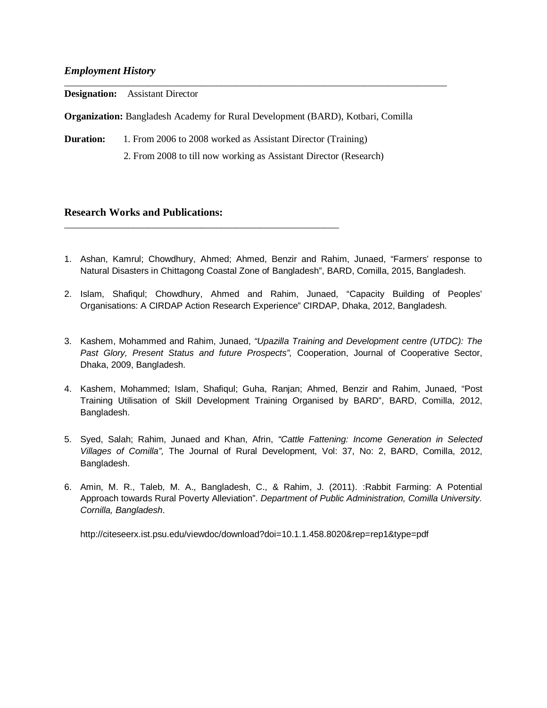### *Employment History*

|                  | <b>Designation:</b> Assistant Director                                                 |
|------------------|----------------------------------------------------------------------------------------|
|                  | <b>Organization:</b> Bangladesh Academy for Rural Development (BARD), Kotbari, Comilla |
| <b>Duration:</b> | 1. From 2006 to 2008 worked as Assistant Director (Training)                           |
|                  | 2. From 2008 to till now working as Assistant Director (Research)                      |

## **Research Works and Publications:**

\_\_\_\_\_\_\_\_\_\_\_\_\_\_\_\_\_\_\_\_\_\_\_\_\_\_\_\_\_\_\_\_\_\_\_\_\_\_\_\_\_\_\_\_\_\_\_\_\_\_\_\_\_\_\_\_

- 1. Ashan, Kamrul; Chowdhury, Ahmed; Ahmed, Benzir and Rahim, Junaed, "Farmers' response to Natural Disasters in Chittagong Coastal Zone of Bangladesh", BARD, Comilla, 2015, Bangladesh.
- 2. Islam, Shafiqul; Chowdhury, Ahmed and Rahim, Junaed, "Capacity Building of Peoples' Organisations: A CIRDAP Action Research Experience" CIRDAP, Dhaka, 2012, Bangladesh.
- 3. Kashem, Mohammed and Rahim, Junaed, *"Upazilla Training and Development centre (UTDC): The Past Glory, Present Status and future Prospects",* Cooperation, Journal of Cooperative Sector, Dhaka, 2009, Bangladesh.
- 4. Kashem, Mohammed; Islam, Shafiqul; Guha, Ranjan; Ahmed, Benzir and Rahim, Junaed, "Post Training Utilisation of Skill Development Training Organised by BARD", BARD, Comilla, 2012, Bangladesh.
- 5. Syed, Salah; Rahim, Junaed and Khan, Afrin, *"Cattle Fattening: Income Generation in Selected Villages of Comilla",* The Journal of Rural Development, Vol: 37, No: 2, BARD, Comilla, 2012, Bangladesh.
- 6. Amin, M. R., Taleb, M. A., Bangladesh, C., & Rahim, J. (2011). :Rabbit Farming: A Potential Approach towards Rural Poverty Alleviation". *Department of Public Administration, Comilla University. Cornilla, Bangladesh*.

http://citeseerx.ist.psu.edu/viewdoc/download?doi=10.1.1.458.8020&rep=rep1&type=pdf